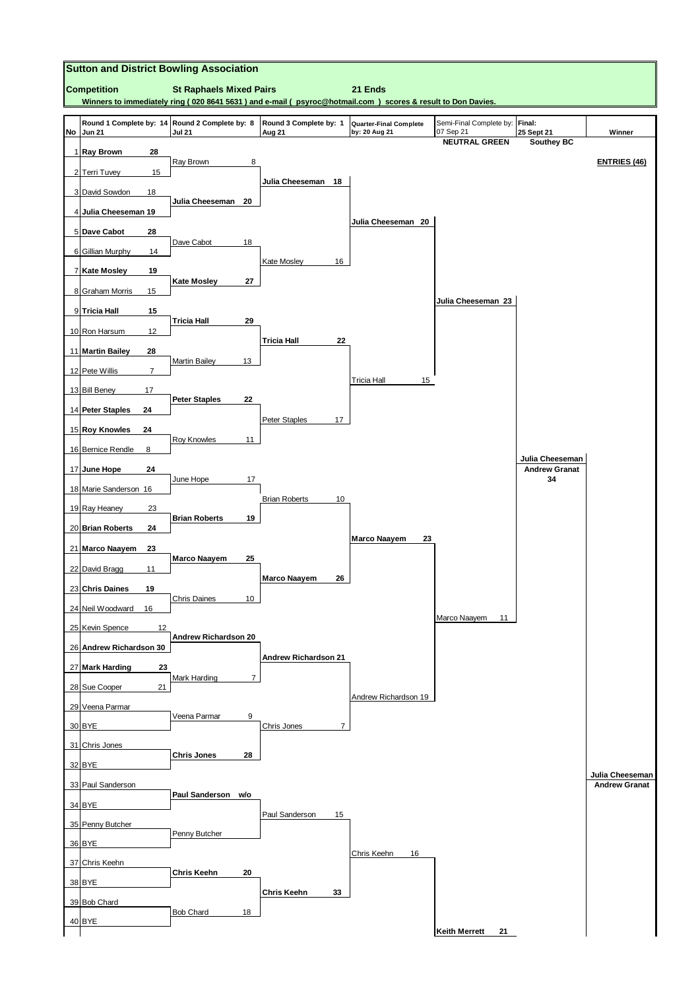